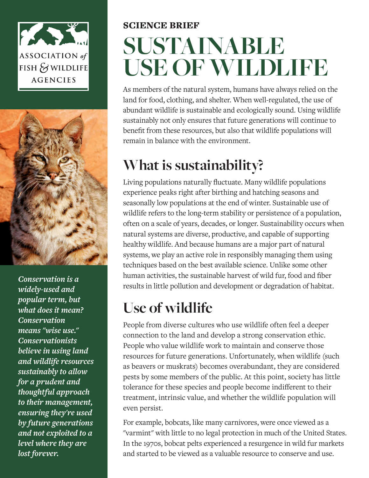



*Conservation is a widely-used and popular term, but what does it mean? Conservation means "wise use." Conservationists believe in using land and wildlife resources sustainably to allow for a prudent and thoughtful approach to their management, ensuring they're used by future generations and not exploited to a level where they are lost forever.*

# SCIENCE BRIEF **SUSTAINABLE USE OF WILDLIFE**

As members of the natural system, humans have always relied on the land for food, clothing, and shelter. When well-regulated, the use of abundant wildlife is sustainable and ecologically sound. Using wildlife sustainably not only ensures that future generations will continue to benefit from these resources, but also that wildlife populations will remain in balance with the environment.

### **What is sustainability?**

Living populations naturally fluctuate. Many wildlife populations experience peaks right after birthing and hatching seasons and seasonally low populations at the end of winter. Sustainable use of wildlife refers to the long-term stability or persistence of a population, often on a scale of years, decades, or longer. Sustainability occurs when natural systems are diverse, productive, and capable of supporting healthy wildlife. And because humans are a major part of natural systems, we play an active role in responsibly managing them using techniques based on the best available science. Unlike some other human activities, the sustainable harvest of wild fur, food and fiber results in little pollution and development or degradation of habitat.

## **Use of wildlife**

People from diverse cultures who use wildlife often feel a deeper connection to the land and develop a strong conservation ethic. People who value wildlife work to maintain and conserve those resources for future generations. Unfortunately, when wildlife (such as beavers or muskrats) becomes overabundant, they are considered pests by some members of the public. At this point, society has little tolerance for these species and people become indifferent to their treatment, intrinsic value, and whether the wildlife population will even persist.

For example, bobcats, like many carnivores, were once viewed as a "varmint" with little to no legal protection in much of the United States. In the 1970s, bobcat pelts experienced a resurgence in wild fur markets and started to be viewed as a valuable resource to conserve and use.